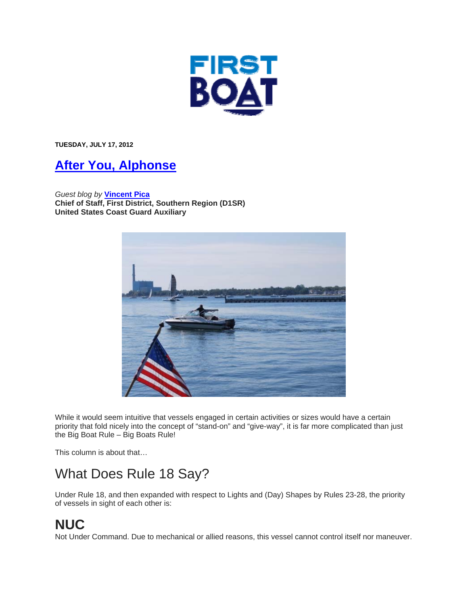

**TUESDAY, JULY 17, 2012** 

#### **After You, Alphonse**

*Guest blog by* **Vincent Pica Chief of Staff, First District, Southern Region (D1SR) United States Coast Guard Auxiliary**



While it would seem intuitive that vessels engaged in certain activities or sizes would have a certain priority that fold nicely into the concept of "stand-on" and "give-way", it is far more complicated than just the Big Boat Rule – Big Boats Rule!

This column is about that…

#### What Does Rule 18 Say?

Under Rule 18, and then expanded with respect to Lights and (Day) Shapes by Rules 23-28, the priority of vessels in sight of each other is:

#### **NUC**

Not Under Command. Due to mechanical or allied reasons, this vessel cannot control itself nor maneuver.